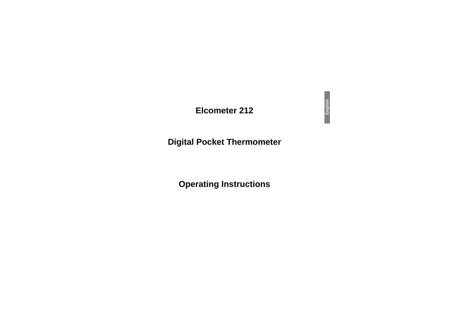## **Elcometer 212**

# **Digital Pocket Thermometer**

# **Operating Instructions**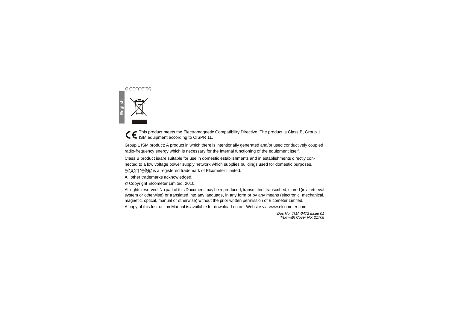This product meets the Electromagnetic Compatibility Directive. The product is Class B, Group 1 ISM equipment according to CISPR 11.

Group 1 ISM product: A product in which there is intentionally generated and/or used conductively coupled radio-frequency energy which is necessary for the internal functioning of the equipment itself.

Class B product is/are suitable for use in domestic establishments and in establishments directly connected to a low voltage power supply network which supplies buildings used for domestic purposes.

elcomete is a registered trademark of Elcometer Limited.

All other trademarks acknowledged.

© Copyright Elcometer Limited. 2010.

All rights reserved. No part of this Document may be reproduced, transmitted, transcribed, stored (in a retrieval system or otherwise) or translated into any language, in any form or by any means (electronic, mechanical, magnetic, optical, manual or otherwise) without the prior written permission of Elcometer Limited.

A copy of this Instruction Manual is available for download on our Website via www.elcometer.com

*Doc.No. TMA-0472 Issue 01Text with Cover No: 21708*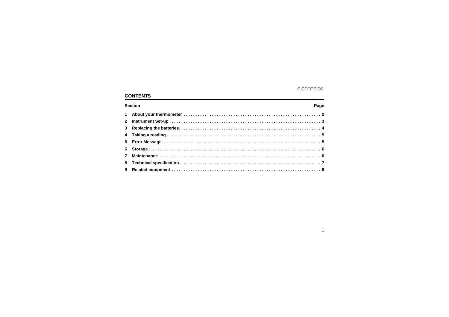## **CONTENTS**

| <b>Section</b> |  |  | Page |
|----------------|--|--|------|
|                |  |  |      |
|                |  |  |      |
|                |  |  |      |
|                |  |  |      |
|                |  |  |      |
|                |  |  |      |
|                |  |  |      |
|                |  |  |      |
|                |  |  |      |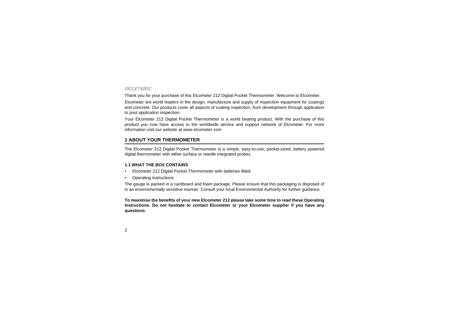Thank you for your purchase of this Elcometer 212 Digital Pocket Thermometer. Welcome to Elcometer.

Elcometer are world leaders in the design, manufacture and supply of inspection equipment for coatings and concrete. Our products cover all aspects of coating inspection, from development through application to post application inspection.

[Your Elcometer 212 Digital Pocket Thermometer is a world beating product. With the purchase of this](http://www.elcometer.com) product you now have access to the worldwide service and support network of Elcometer. For more information visit our website at www.elcometer.com

## <span id="page-3-0"></span>**1 ABOUT YOUR THERMOMETER**

The Elcometer 212 Digital Pocket Thermometer is a simple, easy-to-use, pocket-sized, battery powered digital thermometer with either surface or needle integrated probes.

#### **1.1 WHAT THE BOX CONTAINS**

- •Elcometer 212 Digital Pocket Thermometer with batteries fitted
- •Operating instructions

The gauge is packed in a cardboard and foam package. Please ensure that this packaging is disposed of in an environmentally sensitive manner. Consult your local Environmental Authority for further guidance.

**To maximise the benefits of your new Elcometer 212 please take some time to read these Operating Instructions. Do not hesitate to contact Elcometer or your Elcometer supplier if you have any questions.**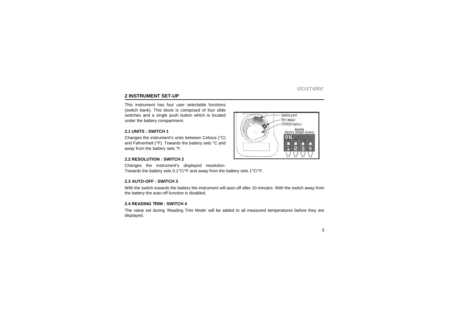## <span id="page-4-0"></span>**2 INSTRUMENT SET-UP**

This instrument has four user selectable functions(switch bank). This block is composed of four slide switches and a single push button which is located under the battery compartment.

#### **2.1 UNITS : SWITCH 1**

Changes the instrument's units between Celsius (°C) and Fahrenheit (°F). Towards the battery sets °C and away from the battery sets °F.

#### **2.2 RESOLUTION : SWITCH 2**

Changes the instrument's displayed resolution. Towards the battery sets 0.1°C/°F and away from the battery sets 1°C/°F.

#### **2.3 AUTO-OFF : SWITCH 3**

With the switch towards the battery the instrument will auto-off after 10 minutes. With the switch away from the battery the auto-off function is disabled.

#### **2.4 READING TRIM : SWITCH 4**

The value set during 'Reading Trim Mode' will be added to all measured temperatures before they are displayed.

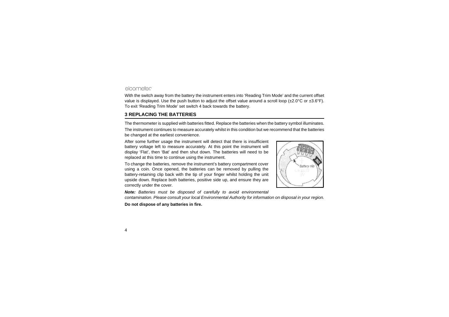With the switch away from the battery the instrument enters into 'Reading Trim Mode' and the current offset value is displayed. Use the push button to adjust the offset value around a scroll loop ( $\pm 2.0^{\circ}$ C or  $\pm 3.6^{\circ}$ F). To exit 'Reading Trim Mode' set switch 4 back towards the battery.

## <span id="page-5-0"></span>**3 REPLACING THE BATTERIES**

The thermometer is supplied with batteries fitted. Replace the batteries when the battery symbol illuminates.

The instrument continues to measure accurately whilst in this condition but we recommend that the batteries be changed at the earliest convenience.

After some further usage the instrument will detect that there is insufficient battery voltage left to measure accurately. At this point the instrument will display 'Flat', then 'Bat' and then shut down. The batteries will need to be replaced at this time to continue using the instrument.

To change the batteries, remove the instrument's battery compartment cover using a coin. Once opened, the batteries can be removed by pulling the battery-retaining clip back with the tip of your finger whilst holding the unit upside down. Replace both batteries, positive side up, and ensure they are correctly under the cover.

*Note: Batteries must be disposed of carefully to avoid environmental contamination. Please consult your local Environmental Authority for information on disposal in your region.*

**Do not dispose of any batteries in fire.**

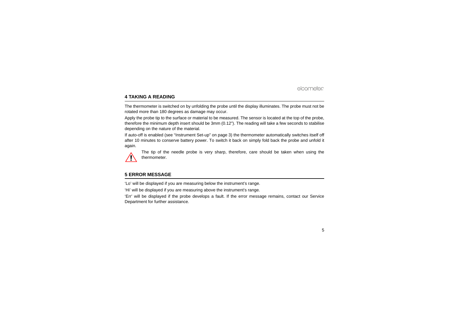## <span id="page-6-0"></span>**4 TAKING A READING**

The thermometer is switched on by unfolding the probe until the display illuminates. The probe must not be rotated more than 180 degrees as damage may occur.

Apply the probe tip to the surface or material to be measured. The sensor is located at the top of the probe, therefore the minimum depth insert should be 3mm (0.12"). The reading will take a few seconds to stabilise depending on the nature of the material.

If auto-off is enabled (see ["Instrument Set-up" on page](#page-4-0) 3) the thermometer automatically switches itself off after 10 minutes to conserve battery power. To switch it back on simply fold back the probe and unfold it again.



The tip of the needle probe is very sharp, therefore, care should be taken when using the thermometer.

## <span id="page-6-1"></span>**5 ERROR MESSAGE**

'Lo' will be displayed if you are measuring below the instrument's range.

'Hi' will be displayed if you are measuring above the instrument's range.

'Err' will be displayed if the probe develops a fault. If the error message remains, contact our Service Department for further assistance.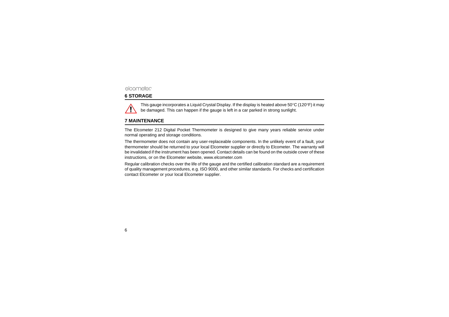## <span id="page-7-0"></span>**6 STORAGE**



## <span id="page-7-1"></span>**7 MAINTENANCE**

The Elcometer 212 Digital Pocket Thermometer is designed to give many years reliable service under normal operating and storage conditions.

The thermometer does not contain any user-replaceable components. In the unlikely event of a fault, your thermometer should be returned to your local Elcometer supplier or directly to Elcometer. The warranty will be invalidated if the instrument has been opened. Contact details can be found on the outside cover of these instructions, or on the Elcometer website, www.elcometer.com

Regular calibration checks over the life of the gauge and the certified calibration standard are a requirement of quality management procedures, e.g. ISO 9000, and other similar standards. For checks and certification contact Elcometer or your local Elcometer supplier.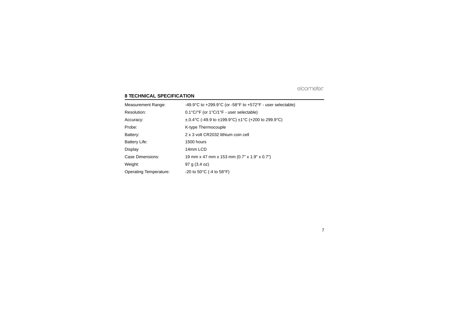## <span id="page-8-0"></span>**8 TECHNICAL SPECIFICATION**

| <b>Measurement Range:</b> | -49.9°C to +299.9°C (or -58°F to +572°F - user selectable)                         |
|---------------------------|------------------------------------------------------------------------------------|
| Resolution:               | $0.1^{\circ}$ C/ $^{\circ}$ F (or 1 $^{\circ}$ C/1 $^{\circ}$ F - user selectable) |
| Accuracy:                 | $\pm$ .0.4°C (-49.9 to $\pm$ 199.9°C) $\pm$ 1°C (+200 to 299.9°C)                  |
| Probe:                    | K-type Thermocouple                                                                |
| Battery:                  | 2 x 3 volt CR2032 lithium coin cell                                                |
| Battery Life:             | 1500 hours                                                                         |
| Display                   | 14mm LCD                                                                           |
| Case Dimensions:          | 19 mm x 47 mm x 153 mm (0.7" x 1.9" x 0.7")                                        |
| Weight:                   | 97 g (3.4 oz)                                                                      |
| Operating Temperature:    | -20 to 50 $^{\circ}$ C (-4 to 58 $^{\circ}$ F)                                     |